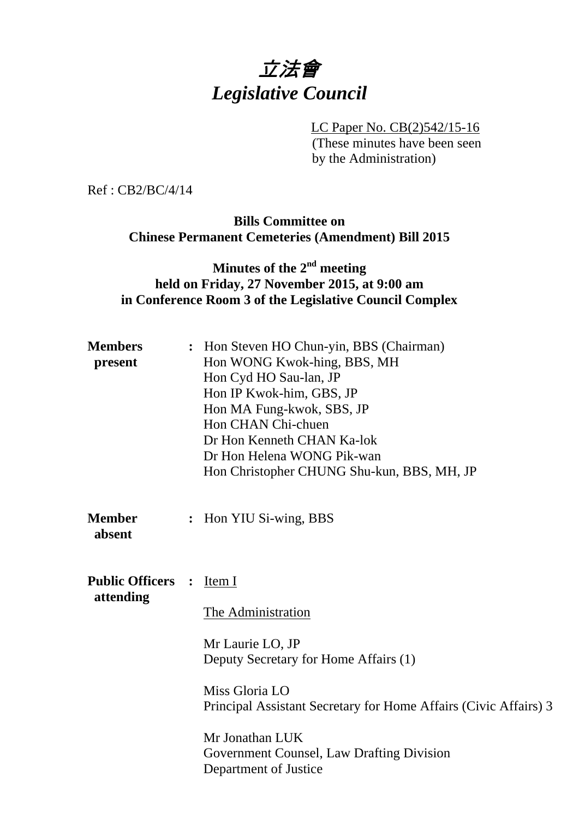# 立法會 *Legislative Council*

LC Paper No. CB(2)542/15-16 (These minutes have been seen by the Administration)

Ref : CB2/BC/4/14

# **Bills Committee on Chinese Permanent Cemeteries (Amendment) Bill 2015**

# **Minutes of the 2nd meeting held on Friday, 27 November 2015, at 9:00 am in Conference Room 3 of the Legislative Council Complex**

| <b>Members</b><br>present           | : Hon Steven HO Chun-yin, BBS (Chairman)<br>Hon WONG Kwok-hing, BBS, MH<br>Hon Cyd HO Sau-lan, JP<br>Hon IP Kwok-him, GBS, JP<br>Hon MA Fung-kwok, SBS, JP<br>Hon CHAN Chi-chuen<br>Dr Hon Kenneth CHAN Ka-lok<br>Dr Hon Helena WONG Pik-wan<br>Hon Christopher CHUNG Shu-kun, BBS, MH, JP |  |
|-------------------------------------|--------------------------------------------------------------------------------------------------------------------------------------------------------------------------------------------------------------------------------------------------------------------------------------------|--|
| <b>Member</b><br>absent             | : Hon YIU Si-wing, BBS                                                                                                                                                                                                                                                                     |  |
| <b>Public Officers</b><br>attending | Item I<br>$\ddot{\cdot}$<br>The Administration<br>Mr Laurie LO, JP<br>Deputy Secretary for Home Affairs (1)<br>Miss Gloria LO<br>Principal Assistant Secretary for Home Affairs (Civic Affairs) 3<br>Mr Jonathan LUK<br>Government Counsel, Law Drafting Division<br>Department of Justice |  |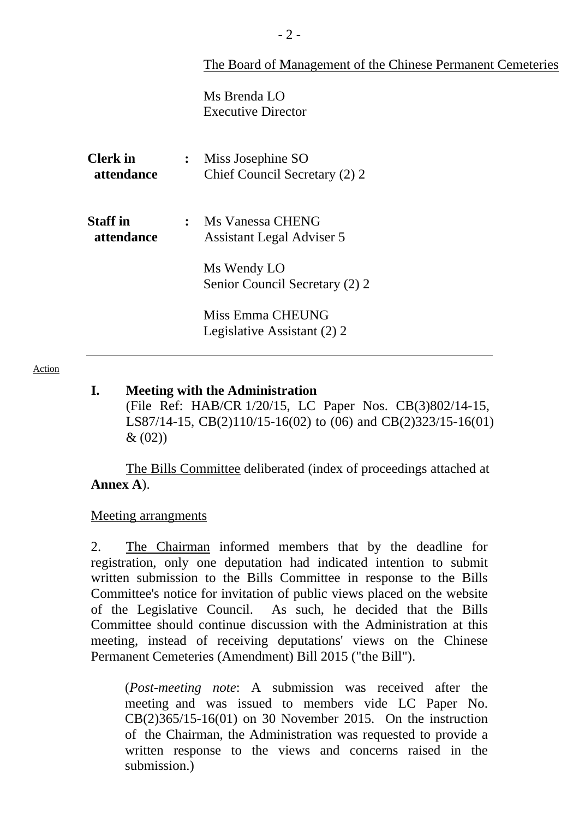|                               | The Board of Management of the Chinese Permanent Cemeteries                       |
|-------------------------------|-----------------------------------------------------------------------------------|
|                               | Ms Brenda LO<br><b>Executive Director</b>                                         |
| <b>Clerk</b> in<br>attendance | Miss Josephine SO<br>$\ddot{\cdot}$<br>Chief Council Secretary (2) 2              |
| <b>Staff in</b><br>attendance | : Ms Vanessa CHENG<br><b>Assistant Legal Adviser 5</b><br>Ms Wendy LO             |
|                               | Senior Council Secretary (2) 2<br>Miss Emma CHEUNG<br>Legislative Assistant (2) 2 |

#### Action

#### **I. Meeting with the Administration**

(File Ref: HAB/CR 1/20/15, LC Paper Nos. CB(3)802/14-15, LS87/14-15, CB(2)110/15-16(02) to (06) and CB(2)323/15-16(01)  $& (02)$ 

 The Bills Committee deliberated (index of proceedings attached at **Annex A**).

#### Meeting arrangments

2. The Chairman informed members that by the deadline for registration, only one deputation had indicated intention to submit written submission to the Bills Committee in response to the Bills Committee's notice for invitation of public views placed on the website of the Legislative Council. As such, he decided that the Bills Committee should continue discussion with the Administration at this meeting, instead of receiving deputations' views on the Chinese Permanent Cemeteries (Amendment) Bill 2015 ("the Bill").

(*Post-meeting note*: A submission was received after the meeting and was issued to members vide LC Paper No. CB(2)365/15-16(01) on 30 November 2015. On the instruction of the Chairman, the Administration was requested to provide a written response to the views and concerns raised in the submission.)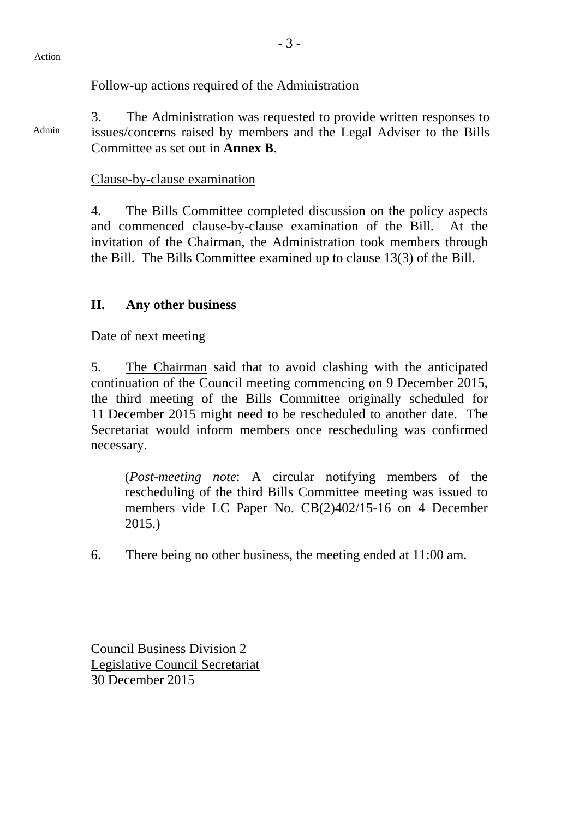#### Action

### Follow-up actions required of the Administration

Admin 3. The Administration was requested to provide written responses to issues/concerns raised by members and the Legal Adviser to the Bills Committee as set out in **Annex B**.

### Clause-by-clause examination

4. The Bills Committee completed discussion on the policy aspects and commenced clause-by-clause examination of the Bill. At the invitation of the Chairman, the Administration took members through the Bill. The Bills Committee examined up to clause 13(3) of the Bill.

## **II. Any other business**

Date of next meeting

5. The Chairman said that to avoid clashing with the anticipated continuation of the Council meeting commencing on 9 December 2015, the third meeting of the Bills Committee originally scheduled for 11 December 2015 might need to be rescheduled to another date. The Secretariat would inform members once rescheduling was confirmed necessary.

(*Post-meeting note*: A circular notifying members of the rescheduling of the third Bills Committee meeting was issued to members vide LC Paper No. CB(2)402/15-16 on 4 December 2015.)

6. There being no other business, the meeting ended at 11:00 am.

Council Business Division 2 Legislative Council Secretariat 30 December 2015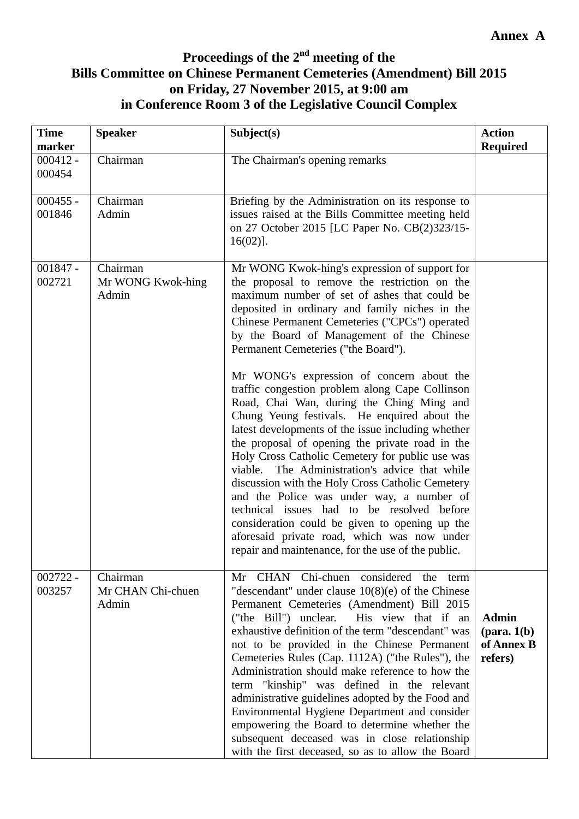# **Proceedings of the 2nd meeting of the Bills Committee on Chinese Permanent Cemeteries (Amendment) Bill 2015 on Friday, 27 November 2015, at 9:00 am in Conference Room 3 of the Legislative Council Complex**

| <b>Time</b><br>marker | <b>Speaker</b>                         | Subject(s)                                                                                                                                                                                                                                                                                                                                                                                                                                                                                                                                                                                                                                                                                                        | <b>Action</b><br><b>Required</b>                                |
|-----------------------|----------------------------------------|-------------------------------------------------------------------------------------------------------------------------------------------------------------------------------------------------------------------------------------------------------------------------------------------------------------------------------------------------------------------------------------------------------------------------------------------------------------------------------------------------------------------------------------------------------------------------------------------------------------------------------------------------------------------------------------------------------------------|-----------------------------------------------------------------|
| $000412 -$<br>000454  | Chairman                               | The Chairman's opening remarks                                                                                                                                                                                                                                                                                                                                                                                                                                                                                                                                                                                                                                                                                    |                                                                 |
| $000455 -$<br>001846  | Chairman<br>Admin                      | Briefing by the Administration on its response to<br>issues raised at the Bills Committee meeting held<br>on 27 October 2015 [LC Paper No. CB(2)323/15-<br>$16(02)$ ].                                                                                                                                                                                                                                                                                                                                                                                                                                                                                                                                            |                                                                 |
| $001847 -$<br>002721  | Chairman<br>Mr WONG Kwok-hing<br>Admin | Mr WONG Kwok-hing's expression of support for<br>the proposal to remove the restriction on the<br>maximum number of set of ashes that could be<br>deposited in ordinary and family niches in the<br>Chinese Permanent Cemeteries ("CPCs") operated<br>by the Board of Management of the Chinese<br>Permanent Cemeteries ("the Board").                                                                                                                                                                                                                                                                                                                                                                            |                                                                 |
|                       |                                        | Mr WONG's expression of concern about the<br>traffic congestion problem along Cape Collinson<br>Road, Chai Wan, during the Ching Ming and<br>Chung Yeung festivals. He enquired about the<br>latest developments of the issue including whether<br>the proposal of opening the private road in the<br>Holy Cross Catholic Cemetery for public use was<br>viable. The Administration's advice that while<br>discussion with the Holy Cross Catholic Cemetery<br>and the Police was under way, a number of<br>technical issues had to be resolved before<br>consideration could be given to opening up the<br>aforesaid private road, which was now under<br>repair and maintenance, for the use of the public.     |                                                                 |
| $002722 -$<br>003257  | Chairman<br>Mr CHAN Chi-chuen<br>Admin | Mr CHAN Chi-chuen considered the term<br>"descendant" under clause $10(8)(e)$ of the Chinese<br>Permanent Cemeteries (Amendment) Bill 2015<br>His view that if an<br>("the Bill") unclear.<br>exhaustive definition of the term "descendant" was<br>not to be provided in the Chinese Permanent<br>Cemeteries Rules (Cap. 1112A) ("the Rules"), the<br>Administration should make reference to how the<br>term "kinship" was defined in the relevant<br>administrative guidelines adopted by the Food and<br>Environmental Hygiene Department and consider<br>empowering the Board to determine whether the<br>subsequent deceased was in close relationship<br>with the first deceased, so as to allow the Board | <b>Admin</b><br>$(\text{para. } 1(b))$<br>of Annex B<br>refers) |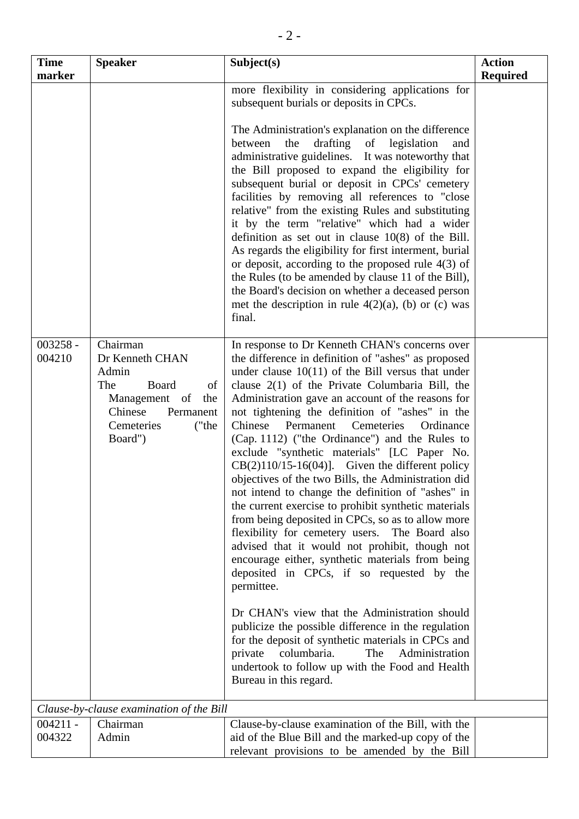| <b>Time</b><br>marker | <b>Speaker</b>                                                                                                                               | Subject(s)                                                                                                                                                                                                                                                                                                                                                                                                                                                                                                                                                                                                                                                                                                                                                                                                                                                                                                                                                                                                                                                                                                                                                                                                                                                                    | <b>Action</b><br><b>Required</b> |
|-----------------------|----------------------------------------------------------------------------------------------------------------------------------------------|-------------------------------------------------------------------------------------------------------------------------------------------------------------------------------------------------------------------------------------------------------------------------------------------------------------------------------------------------------------------------------------------------------------------------------------------------------------------------------------------------------------------------------------------------------------------------------------------------------------------------------------------------------------------------------------------------------------------------------------------------------------------------------------------------------------------------------------------------------------------------------------------------------------------------------------------------------------------------------------------------------------------------------------------------------------------------------------------------------------------------------------------------------------------------------------------------------------------------------------------------------------------------------|----------------------------------|
|                       |                                                                                                                                              | more flexibility in considering applications for<br>subsequent burials or deposits in CPCs.<br>The Administration's explanation on the difference<br>between<br>drafting of<br>the<br>legislation<br>and<br>administrative guidelines. It was noteworthy that<br>the Bill proposed to expand the eligibility for<br>subsequent burial or deposit in CPCs' cemetery<br>facilities by removing all references to "close<br>relative" from the existing Rules and substituting<br>it by the term "relative" which had a wider<br>definition as set out in clause $10(8)$ of the Bill.<br>As regards the eligibility for first interment, burial<br>or deposit, according to the proposed rule $4(3)$ of<br>the Rules (to be amended by clause 11 of the Bill),<br>the Board's decision on whether a deceased person<br>met the description in rule $4(2)(a)$ , (b) or (c) was<br>final.                                                                                                                                                                                                                                                                                                                                                                                          |                                  |
| $003258 -$<br>004210  | Chairman<br>Dr Kenneth CHAN<br>Admin<br>The<br>Board<br>of<br>Management of<br>the<br>Chinese<br>Permanent<br>Cemeteries<br>("the<br>Board") | In response to Dr Kenneth CHAN's concerns over<br>the difference in definition of "ashes" as proposed<br>under clause $10(11)$ of the Bill versus that under<br>clause $2(1)$ of the Private Columbaria Bill, the<br>Administration gave an account of the reasons for<br>not tightening the definition of "ashes" in the<br>Chinese<br>Cemeteries<br>Ordinance<br>Permanent<br>(Cap. 1112) ("the Ordinance") and the Rules to<br>exclude "synthetic materials" [LC Paper No.<br>$CB(2)110/15-16(04)$ ]. Given the different policy<br>objectives of the two Bills, the Administration did<br>not intend to change the definition of "ashes" in<br>the current exercise to prohibit synthetic materials<br>from being deposited in CPCs, so as to allow more<br>flexibility for cemetery users. The Board also<br>advised that it would not prohibit, though not<br>encourage either, synthetic materials from being<br>deposited in CPCs, if so requested by the<br>permittee.<br>Dr CHAN's view that the Administration should<br>publicize the possible difference in the regulation<br>for the deposit of synthetic materials in CPCs and<br>columbaria.<br>The<br>Administration<br>private<br>undertook to follow up with the Food and Health<br>Bureau in this regard. |                                  |
|                       | Clause-by-clause examination of the Bill                                                                                                     |                                                                                                                                                                                                                                                                                                                                                                                                                                                                                                                                                                                                                                                                                                                                                                                                                                                                                                                                                                                                                                                                                                                                                                                                                                                                               |                                  |
| $004211 -$<br>004322  | Chairman<br>Admin                                                                                                                            | Clause-by-clause examination of the Bill, with the<br>aid of the Blue Bill and the marked-up copy of the<br>relevant provisions to be amended by the Bill                                                                                                                                                                                                                                                                                                                                                                                                                                                                                                                                                                                                                                                                                                                                                                                                                                                                                                                                                                                                                                                                                                                     |                                  |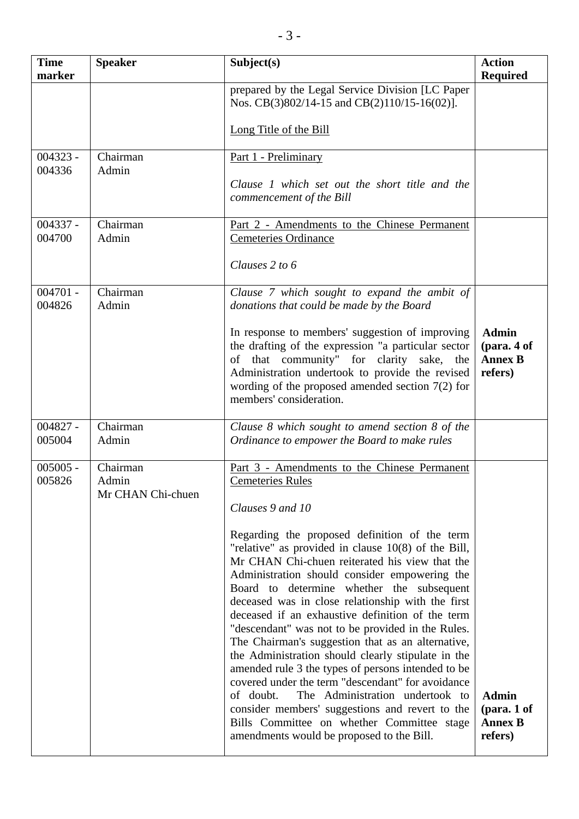| <b>Time</b><br>marker | <b>Speaker</b>                         | Subject(s)                                                                                                                                                                                                                                                                                                                                                                                                                                                                                                                                                                                                                                                                                                                                                                                                                               | <b>Action</b><br>Required                                |
|-----------------------|----------------------------------------|------------------------------------------------------------------------------------------------------------------------------------------------------------------------------------------------------------------------------------------------------------------------------------------------------------------------------------------------------------------------------------------------------------------------------------------------------------------------------------------------------------------------------------------------------------------------------------------------------------------------------------------------------------------------------------------------------------------------------------------------------------------------------------------------------------------------------------------|----------------------------------------------------------|
|                       |                                        | prepared by the Legal Service Division [LC Paper<br>Nos. CB(3)802/14-15 and CB(2)110/15-16(02)].                                                                                                                                                                                                                                                                                                                                                                                                                                                                                                                                                                                                                                                                                                                                         |                                                          |
|                       |                                        | Long Title of the Bill                                                                                                                                                                                                                                                                                                                                                                                                                                                                                                                                                                                                                                                                                                                                                                                                                   |                                                          |
| $004323 -$<br>004336  | Chairman<br>Admin                      | Part 1 - Preliminary                                                                                                                                                                                                                                                                                                                                                                                                                                                                                                                                                                                                                                                                                                                                                                                                                     |                                                          |
|                       |                                        | Clause 1 which set out the short title and the<br>commencement of the Bill                                                                                                                                                                                                                                                                                                                                                                                                                                                                                                                                                                                                                                                                                                                                                               |                                                          |
| $004337 -$<br>004700  | Chairman<br>Admin                      | Part 2 - Amendments to the Chinese Permanent<br>Cemeteries Ordinance                                                                                                                                                                                                                                                                                                                                                                                                                                                                                                                                                                                                                                                                                                                                                                     |                                                          |
|                       |                                        | Clauses 2 to 6                                                                                                                                                                                                                                                                                                                                                                                                                                                                                                                                                                                                                                                                                                                                                                                                                           |                                                          |
| $004701 -$<br>004826  | Chairman<br>Admin                      | Clause 7 which sought to expand the ambit of<br>donations that could be made by the Board                                                                                                                                                                                                                                                                                                                                                                                                                                                                                                                                                                                                                                                                                                                                                |                                                          |
|                       |                                        | In response to members' suggestion of improving<br>the drafting of the expression "a particular sector<br>of that community" for clarity sake, the<br>Administration undertook to provide the revised<br>wording of the proposed amended section $7(2)$ for<br>members' consideration.                                                                                                                                                                                                                                                                                                                                                                                                                                                                                                                                                   | <b>Admin</b><br>(para. 4 of<br><b>Annex B</b><br>refers) |
| $004827 -$<br>005004  | Chairman<br>Admin                      | Clause 8 which sought to amend section 8 of the<br>Ordinance to empower the Board to make rules                                                                                                                                                                                                                                                                                                                                                                                                                                                                                                                                                                                                                                                                                                                                          |                                                          |
| $005005 -$<br>005826  | Chairman<br>Admin<br>Mr CHAN Chi-chuen | Part 3 - Amendments to the Chinese Permanent<br><b>Cemeteries Rules</b><br>Clauses 9 and 10                                                                                                                                                                                                                                                                                                                                                                                                                                                                                                                                                                                                                                                                                                                                              |                                                          |
|                       |                                        | Regarding the proposed definition of the term<br>"relative" as provided in clause $10(8)$ of the Bill,<br>Mr CHAN Chi-chuen reiterated his view that the<br>Administration should consider empowering the<br>Board to determine whether the subsequent<br>deceased was in close relationship with the first<br>deceased if an exhaustive definition of the term<br>"descendant" was not to be provided in the Rules.<br>The Chairman's suggestion that as an alternative,<br>the Administration should clearly stipulate in the<br>amended rule 3 the types of persons intended to be<br>covered under the term "descendant" for avoidance<br>of doubt.<br>The Administration undertook to<br>consider members' suggestions and revert to the<br>Bills Committee on whether Committee stage<br>amendments would be proposed to the Bill. | <b>Admin</b><br>(para. 1 of<br><b>Annex B</b><br>refers) |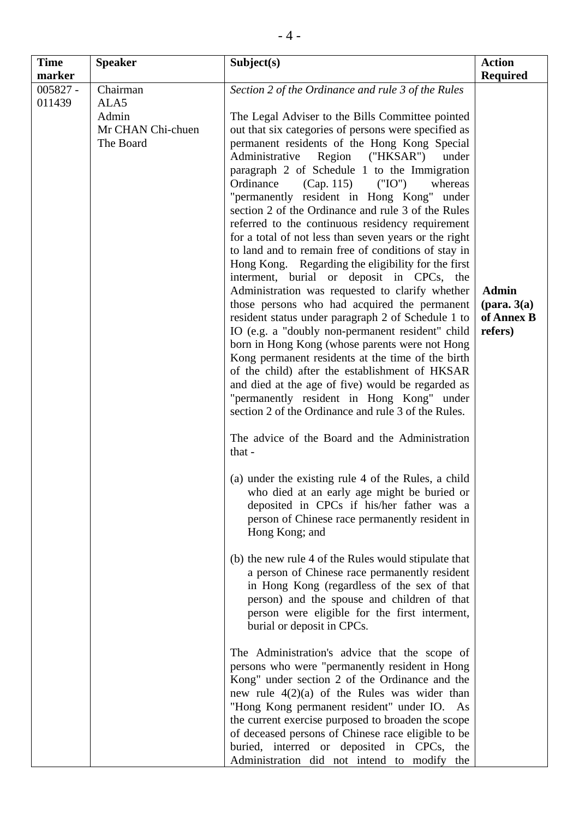| <b>Time</b>                    | <b>Speaker</b>                                              | Subject(s)                                                                                                                                                                                                                                                                                                                                                                                                                                                                                                                                                                                                                                                                                                                                                                                                                                                                                                                                                                                                                                                                                                                                                                                                                                                                                                                                                                                                                                                                                                                                                                                                                                                                                                                                                                                                                                                                                                                                                                                                                                                                                                                                                                                                                                                                                                     | <b>Action</b>                                                                      |
|--------------------------------|-------------------------------------------------------------|----------------------------------------------------------------------------------------------------------------------------------------------------------------------------------------------------------------------------------------------------------------------------------------------------------------------------------------------------------------------------------------------------------------------------------------------------------------------------------------------------------------------------------------------------------------------------------------------------------------------------------------------------------------------------------------------------------------------------------------------------------------------------------------------------------------------------------------------------------------------------------------------------------------------------------------------------------------------------------------------------------------------------------------------------------------------------------------------------------------------------------------------------------------------------------------------------------------------------------------------------------------------------------------------------------------------------------------------------------------------------------------------------------------------------------------------------------------------------------------------------------------------------------------------------------------------------------------------------------------------------------------------------------------------------------------------------------------------------------------------------------------------------------------------------------------------------------------------------------------------------------------------------------------------------------------------------------------------------------------------------------------------------------------------------------------------------------------------------------------------------------------------------------------------------------------------------------------------------------------------------------------------------------------------------------------|------------------------------------------------------------------------------------|
| marker<br>$005827 -$<br>011439 | Chairman<br>ALA5<br>Admin<br>Mr CHAN Chi-chuen<br>The Board | Section 2 of the Ordinance and rule 3 of the Rules<br>The Legal Adviser to the Bills Committee pointed<br>out that six categories of persons were specified as<br>permanent residents of the Hong Kong Special<br>Region ("HKSAR")<br>Administrative<br>under<br>paragraph 2 of Schedule 1 to the Immigration<br>Ordinance<br>(Cap. 115)<br>("IO")<br>whereas<br>"permanently resident in Hong Kong" under<br>section 2 of the Ordinance and rule 3 of the Rules<br>referred to the continuous residency requirement<br>for a total of not less than seven years or the right<br>to land and to remain free of conditions of stay in<br>Hong Kong. Regarding the eligibility for the first<br>interment, burial or deposit in CPCs, the<br>Administration was requested to clarify whether<br>those persons who had acquired the permanent<br>resident status under paragraph 2 of Schedule 1 to<br>IO (e.g. a "doubly non-permanent resident" child<br>born in Hong Kong (whose parents were not Hong<br>Kong permanent residents at the time of the birth<br>of the child) after the establishment of HKSAR<br>and died at the age of five) would be regarded as<br>"permanently resident in Hong Kong" under<br>section 2 of the Ordinance and rule 3 of the Rules.<br>The advice of the Board and the Administration<br>that -<br>(a) under the existing rule 4 of the Rules, a child<br>who died at an early age might be buried or<br>deposited in CPCs if his/her father was a<br>person of Chinese race permanently resident in<br>Hong Kong; and<br>(b) the new rule 4 of the Rules would stipulate that<br>a person of Chinese race permanently resident<br>in Hong Kong (regardless of the sex of that<br>person) and the spouse and children of that<br>person were eligible for the first interment,<br>burial or deposit in CPCs.<br>The Administration's advice that the scope of<br>persons who were "permanently resident in Hong<br>Kong" under section 2 of the Ordinance and the<br>new rule $4(2)(a)$ of the Rules was wider than<br>"Hong Kong permanent resident" under IO. As<br>the current exercise purposed to broaden the scope<br>of deceased persons of Chinese race eligible to be<br>buried, interred or deposited in CPCs, the<br>Administration did not intend to modify the | <b>Required</b><br><b>Admin</b><br>$(\text{para. } 3(a))$<br>of Annex B<br>refers) |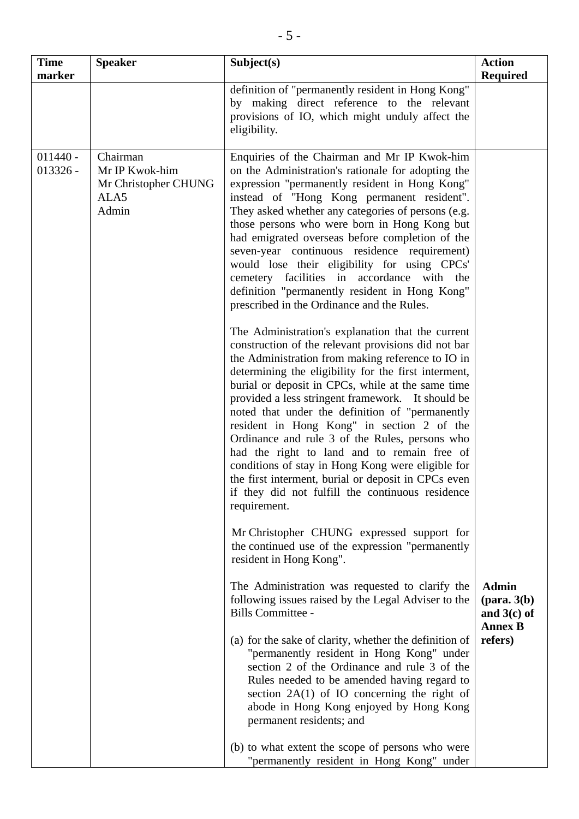| <b>Time</b><br>marker    | <b>Speaker</b>                                                      | Subject(s)                                                                                                                                                                                                                                                                                                                                                                                                                                                                                                                                                                                                                                                     | <b>Action</b><br><b>Required</b>                                          |
|--------------------------|---------------------------------------------------------------------|----------------------------------------------------------------------------------------------------------------------------------------------------------------------------------------------------------------------------------------------------------------------------------------------------------------------------------------------------------------------------------------------------------------------------------------------------------------------------------------------------------------------------------------------------------------------------------------------------------------------------------------------------------------|---------------------------------------------------------------------------|
|                          |                                                                     | definition of "permanently resident in Hong Kong"<br>by making direct reference to the relevant<br>provisions of IO, which might unduly affect the<br>eligibility.                                                                                                                                                                                                                                                                                                                                                                                                                                                                                             |                                                                           |
| $011440 -$<br>$013326 -$ | Chairman<br>Mr IP Kwok-him<br>Mr Christopher CHUNG<br>ALA5<br>Admin | Enquiries of the Chairman and Mr IP Kwok-him<br>on the Administration's rationale for adopting the<br>expression "permanently resident in Hong Kong"<br>instead of "Hong Kong permanent resident".<br>They asked whether any categories of persons (e.g.<br>those persons who were born in Hong Kong but<br>had emigrated overseas before completion of the<br>seven-year continuous residence requirement)<br>would lose their eligibility for using CPCs'<br>cemetery facilities in accordance with the<br>definition "permanently resident in Hong Kong"<br>prescribed in the Ordinance and the Rules.<br>The Administration's explanation that the current |                                                                           |
|                          |                                                                     | construction of the relevant provisions did not bar<br>the Administration from making reference to IO in<br>determining the eligibility for the first interment,<br>burial or deposit in CPCs, while at the same time<br>provided a less stringent framework. It should be<br>noted that under the definition of "permanently<br>resident in Hong Kong" in section 2 of the<br>Ordinance and rule 3 of the Rules, persons who<br>had the right to land and to remain free of<br>conditions of stay in Hong Kong were eligible for<br>the first interment, burial or deposit in CPCs even<br>if they did not fulfill the continuous residence<br>requirement.   |                                                                           |
|                          |                                                                     | Mr Christopher CHUNG expressed support for<br>the continued use of the expression "permanently<br>resident in Hong Kong".                                                                                                                                                                                                                                                                                                                                                                                                                                                                                                                                      |                                                                           |
|                          |                                                                     | The Administration was requested to clarify the<br>following issues raised by the Legal Adviser to the<br>Bills Committee -                                                                                                                                                                                                                                                                                                                                                                                                                                                                                                                                    | <b>Admin</b><br>$(\text{para. } 3(b))$<br>and $3(c)$ of<br><b>Annex B</b> |
|                          |                                                                     | (a) for the sake of clarity, whether the definition of<br>"permanently resident in Hong Kong" under<br>section 2 of the Ordinance and rule 3 of the<br>Rules needed to be amended having regard to<br>section $2A(1)$ of IO concerning the right of<br>abode in Hong Kong enjoyed by Hong Kong<br>permanent residents; and                                                                                                                                                                                                                                                                                                                                     | refers)                                                                   |
|                          |                                                                     | (b) to what extent the scope of persons who were<br>"permanently resident in Hong Kong" under                                                                                                                                                                                                                                                                                                                                                                                                                                                                                                                                                                  |                                                                           |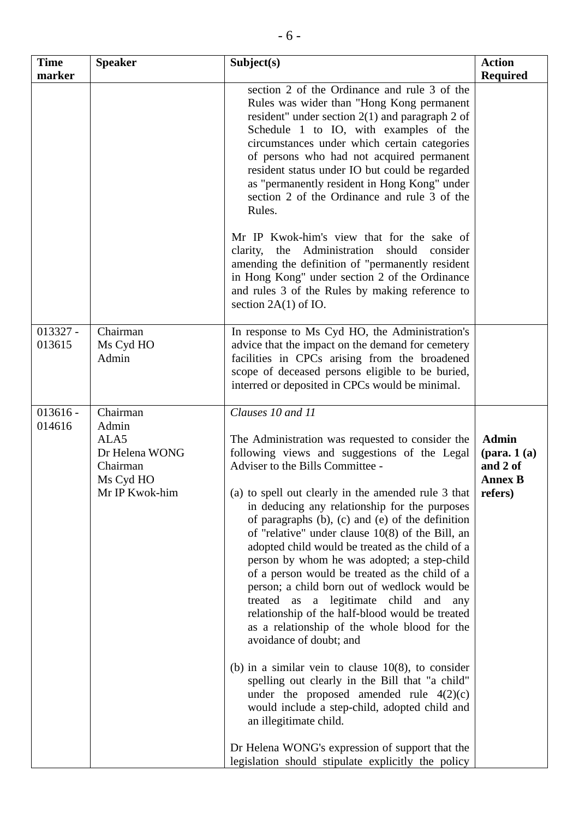| <b>Time</b><br>marker | <b>Speaker</b>                                                                         | Subject(s)                                                                                                                                                                                                                                                                                                                                                                                                                                                                                                                                                                                                                                                                                                                                                                                                                                                                                                                                                                                                                                                                       | <b>Action</b><br><b>Required</b>                                                      |
|-----------------------|----------------------------------------------------------------------------------------|----------------------------------------------------------------------------------------------------------------------------------------------------------------------------------------------------------------------------------------------------------------------------------------------------------------------------------------------------------------------------------------------------------------------------------------------------------------------------------------------------------------------------------------------------------------------------------------------------------------------------------------------------------------------------------------------------------------------------------------------------------------------------------------------------------------------------------------------------------------------------------------------------------------------------------------------------------------------------------------------------------------------------------------------------------------------------------|---------------------------------------------------------------------------------------|
|                       |                                                                                        | section 2 of the Ordinance and rule 3 of the<br>Rules was wider than "Hong Kong permanent<br>resident" under section $2(1)$ and paragraph 2 of<br>Schedule 1 to IO, with examples of the<br>circumstances under which certain categories<br>of persons who had not acquired permanent<br>resident status under IO but could be regarded<br>as "permanently resident in Hong Kong" under<br>section 2 of the Ordinance and rule 3 of the<br>Rules.                                                                                                                                                                                                                                                                                                                                                                                                                                                                                                                                                                                                                                |                                                                                       |
|                       |                                                                                        | Mr IP Kwok-him's view that for the sake of<br>the Administration<br>should<br>clarity,<br>consider<br>amending the definition of "permanently resident<br>in Hong Kong" under section 2 of the Ordinance<br>and rules 3 of the Rules by making reference to<br>section $2A(1)$ of IO.                                                                                                                                                                                                                                                                                                                                                                                                                                                                                                                                                                                                                                                                                                                                                                                            |                                                                                       |
| $013327 -$<br>013615  | Chairman<br>Ms Cyd HO<br>Admin                                                         | In response to Ms Cyd HO, the Administration's<br>advice that the impact on the demand for cemetery<br>facilities in CPCs arising from the broadened<br>scope of deceased persons eligible to be buried,<br>interred or deposited in CPCs would be minimal.                                                                                                                                                                                                                                                                                                                                                                                                                                                                                                                                                                                                                                                                                                                                                                                                                      |                                                                                       |
| $013616 -$<br>014616  | Chairman<br>Admin<br>ALA5<br>Dr Helena WONG<br>Chairman<br>Ms Cyd HO<br>Mr IP Kwok-him | Clauses 10 and 11<br>The Administration was requested to consider the<br>following views and suggestions of the Legal<br>Adviser to the Bills Committee -<br>(a) to spell out clearly in the amended rule 3 that<br>in deducing any relationship for the purposes<br>of paragraphs $(b)$ , $(c)$ and $(e)$ of the definition<br>of "relative" under clause 10(8) of the Bill, an<br>adopted child would be treated as the child of a<br>person by whom he was adopted; a step-child<br>of a person would be treated as the child of a<br>person; a child born out of wedlock would be<br>legitimate<br>child<br>treated<br>as<br>$\mathbf{a}$<br>and<br>any<br>relationship of the half-blood would be treated<br>as a relationship of the whole blood for the<br>avoidance of doubt; and<br>(b) in a similar vein to clause $10(8)$ , to consider<br>spelling out clearly in the Bill that "a child"<br>under the proposed amended rule $4(2)(c)$<br>would include a step-child, adopted child and<br>an illegitimate child.<br>Dr Helena WONG's expression of support that the | <b>Admin</b><br>$(\text{para. 1}(\text{a}))$<br>and 2 of<br><b>Annex B</b><br>refers) |
|                       |                                                                                        | legislation should stipulate explicitly the policy                                                                                                                                                                                                                                                                                                                                                                                                                                                                                                                                                                                                                                                                                                                                                                                                                                                                                                                                                                                                                               |                                                                                       |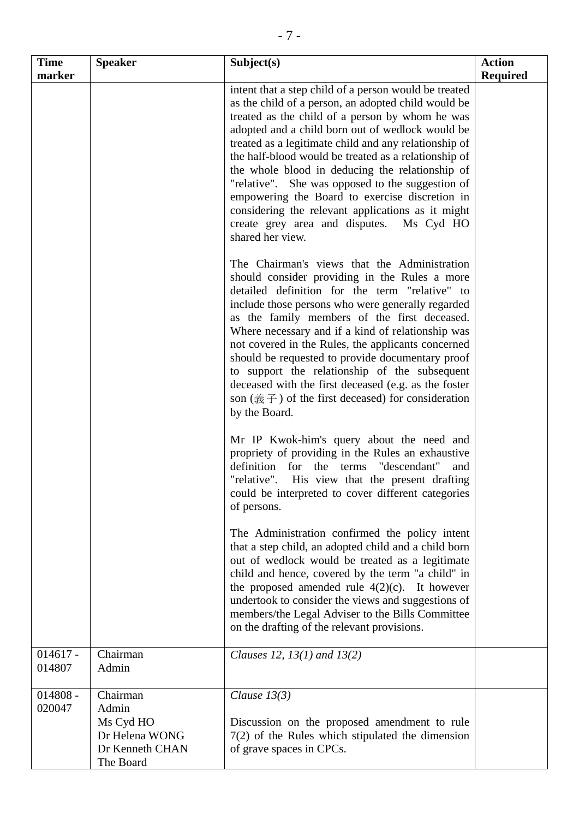| <b>Time</b>          | <b>Speaker</b>                                                                   | Subject(s)                                                                                                                                                                                                                                                                                                                                                                                                                                                                                                                                                                                                                  | <b>Action</b>   |
|----------------------|----------------------------------------------------------------------------------|-----------------------------------------------------------------------------------------------------------------------------------------------------------------------------------------------------------------------------------------------------------------------------------------------------------------------------------------------------------------------------------------------------------------------------------------------------------------------------------------------------------------------------------------------------------------------------------------------------------------------------|-----------------|
| marker               |                                                                                  |                                                                                                                                                                                                                                                                                                                                                                                                                                                                                                                                                                                                                             | <b>Required</b> |
|                      |                                                                                  | intent that a step child of a person would be treated<br>as the child of a person, an adopted child would be<br>treated as the child of a person by whom he was<br>adopted and a child born out of wedlock would be<br>treated as a legitimate child and any relationship of<br>the half-blood would be treated as a relationship of<br>the whole blood in deducing the relationship of<br>"relative". She was opposed to the suggestion of<br>empowering the Board to exercise discretion in<br>considering the relevant applications as it might<br>create grey area and disputes.<br>Ms Cyd HO<br>shared her view.       |                 |
|                      |                                                                                  | The Chairman's views that the Administration<br>should consider providing in the Rules a more<br>detailed definition for the term "relative" to<br>include those persons who were generally regarded<br>as the family members of the first deceased.<br>Where necessary and if a kind of relationship was<br>not covered in the Rules, the applicants concerned<br>should be requested to provide documentary proof<br>to support the relationship of the subsequent<br>deceased with the first deceased (e.g. as the foster<br>son $(\frac{2}{50}, \frac{2}{5})$ of the first deceased) for consideration<br>by the Board. |                 |
|                      |                                                                                  | Mr IP Kwok-him's query about the need and<br>propriety of providing in the Rules an exhaustive<br>"descendant"<br>definition<br>for<br>the<br>terms<br>and<br>"relative".<br>His view that the present drafting<br>could be interpreted to cover different categories<br>of persons.                                                                                                                                                                                                                                                                                                                                        |                 |
|                      |                                                                                  | The Administration confirmed the policy intent<br>that a step child, an adopted child and a child born<br>out of wedlock would be treated as a legitimate<br>child and hence, covered by the term "a child" in<br>the proposed amended rule $4(2)(c)$ . It however<br>undertook to consider the views and suggestions of<br>members/the Legal Adviser to the Bills Committee<br>on the drafting of the relevant provisions.                                                                                                                                                                                                 |                 |
| $014617 -$<br>014807 | Chairman<br>Admin                                                                | Clauses 12, 13(1) and $13(2)$                                                                                                                                                                                                                                                                                                                                                                                                                                                                                                                                                                                               |                 |
| $014808 -$<br>020047 | Chairman<br>Admin<br>Ms Cyd HO<br>Dr Helena WONG<br>Dr Kenneth CHAN<br>The Board | Clause $13(3)$<br>Discussion on the proposed amendment to rule<br>$7(2)$ of the Rules which stipulated the dimension<br>of grave spaces in CPCs.                                                                                                                                                                                                                                                                                                                                                                                                                                                                            |                 |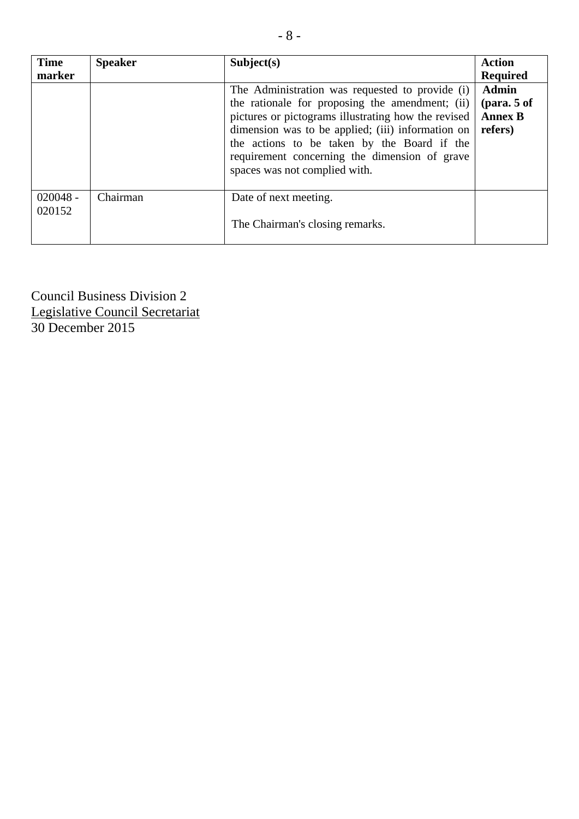| <b>Time</b><br>marker | <b>Speaker</b> | Subject(s)                                                                                                                                                                                                                                                                                                                                      | <b>Action</b><br><b>Required</b>                             |
|-----------------------|----------------|-------------------------------------------------------------------------------------------------------------------------------------------------------------------------------------------------------------------------------------------------------------------------------------------------------------------------------------------------|--------------------------------------------------------------|
|                       |                | The Administration was requested to provide (i)<br>the rationale for proposing the amendment; (ii)<br>pictures or pictograms illustrating how the revised<br>dimension was to be applied; (iii) information on<br>the actions to be taken by the Board if the<br>requirement concerning the dimension of grave<br>spaces was not complied with. | <b>Admin</b><br>$1$ (para. 5 of<br><b>Annex B</b><br>refers) |
| $020048 -$<br>020152  | Chairman       | Date of next meeting.<br>The Chairman's closing remarks.                                                                                                                                                                                                                                                                                        |                                                              |

Council Business Division 2 Legislative Council Secretariat 30 December 2015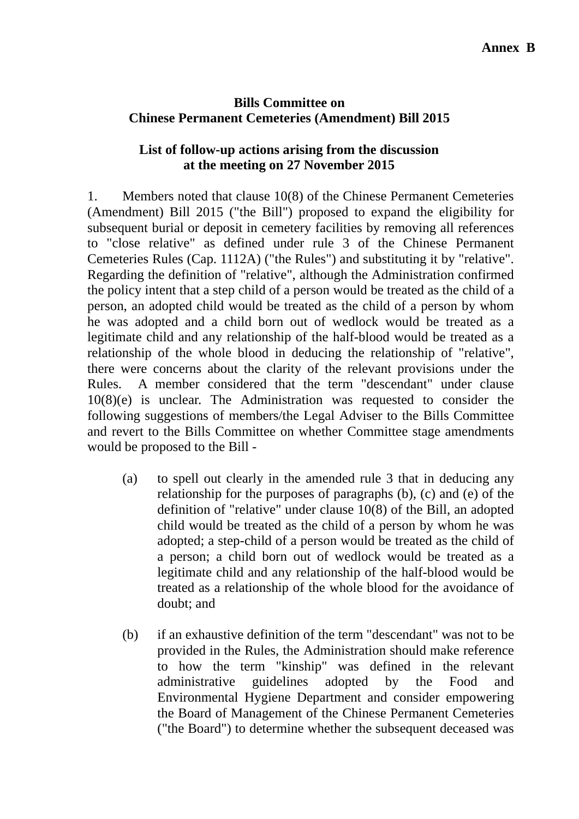# **Bills Committee on Chinese Permanent Cemeteries (Amendment) Bill 2015**

# **List of follow-up actions arising from the discussion at the meeting on 27 November 2015**

1. Members noted that clause 10(8) of the Chinese Permanent Cemeteries (Amendment) Bill 2015 ("the Bill") proposed to expand the eligibility for subsequent burial or deposit in cemetery facilities by removing all references to "close relative" as defined under rule 3 of the Chinese Permanent Cemeteries Rules (Cap. 1112A) ("the Rules") and substituting it by "relative". Regarding the definition of "relative", although the Administration confirmed the policy intent that a step child of a person would be treated as the child of a person, an adopted child would be treated as the child of a person by whom he was adopted and a child born out of wedlock would be treated as a legitimate child and any relationship of the half-blood would be treated as a relationship of the whole blood in deducing the relationship of "relative", there were concerns about the clarity of the relevant provisions under the Rules. A member considered that the term "descendant" under clause 10(8)(e) is unclear. The Administration was requested to consider the following suggestions of members/the Legal Adviser to the Bills Committee and revert to the Bills Committee on whether Committee stage amendments would be proposed to the Bill -

- (a) to spell out clearly in the amended rule 3 that in deducing any relationship for the purposes of paragraphs (b), (c) and (e) of the definition of "relative" under clause 10(8) of the Bill, an adopted child would be treated as the child of a person by whom he was adopted; a step-child of a person would be treated as the child of a person; a child born out of wedlock would be treated as a legitimate child and any relationship of the half-blood would be treated as a relationship of the whole blood for the avoidance of doubt; and
- (b) if an exhaustive definition of the term "descendant" was not to be provided in the Rules, the Administration should make reference to how the term "kinship" was defined in the relevant administrative guidelines adopted by the Food and Environmental Hygiene Department and consider empowering the Board of Management of the Chinese Permanent Cemeteries ("the Board") to determine whether the subsequent deceased was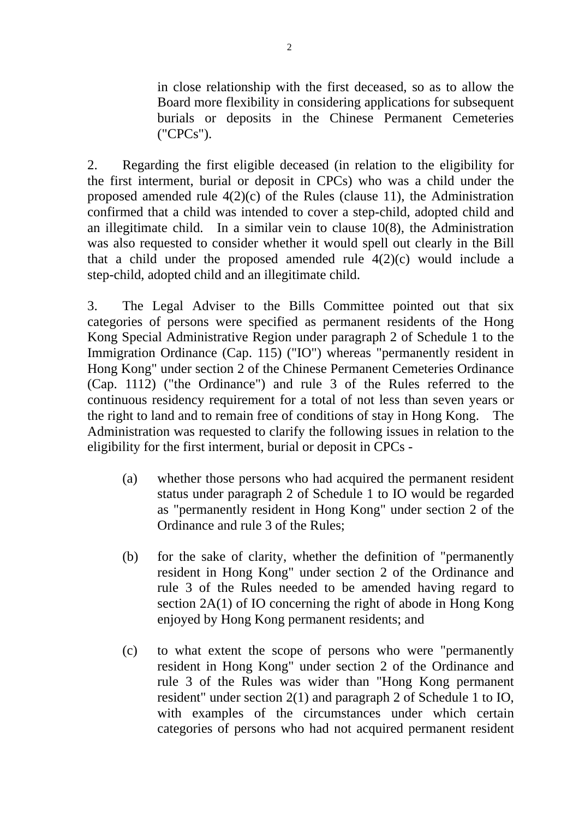in close relationship with the first deceased, so as to allow the Board more flexibility in considering applications for subsequent burials or deposits in the Chinese Permanent Cemeteries ("CPCs").

2. Regarding the first eligible deceased (in relation to the eligibility for the first interment, burial or deposit in CPCs) who was a child under the proposed amended rule  $4(2)(c)$  of the Rules (clause 11), the Administration confirmed that a child was intended to cover a step-child, adopted child and an illegitimate child. In a similar vein to clause 10(8), the Administration was also requested to consider whether it would spell out clearly in the Bill that a child under the proposed amended rule  $4(2)(c)$  would include a step-child, adopted child and an illegitimate child.

3. The Legal Adviser to the Bills Committee pointed out that six categories of persons were specified as permanent residents of the Hong Kong Special Administrative Region under paragraph 2 of Schedule 1 to the Immigration Ordinance (Cap. 115) ("IO") whereas "permanently resident in Hong Kong" under section 2 of the Chinese Permanent Cemeteries Ordinance (Cap. 1112) ("the Ordinance") and rule 3 of the Rules referred to the continuous residency requirement for a total of not less than seven years or the right to land and to remain free of conditions of stay in Hong Kong. The Administration was requested to clarify the following issues in relation to the eligibility for the first interment, burial or deposit in CPCs -

- (a) whether those persons who had acquired the permanent resident status under paragraph 2 of Schedule 1 to IO would be regarded as "permanently resident in Hong Kong" under section 2 of the Ordinance and rule 3 of the Rules;
- (b) for the sake of clarity, whether the definition of "permanently resident in Hong Kong" under section 2 of the Ordinance and rule 3 of the Rules needed to be amended having regard to section 2A(1) of IO concerning the right of abode in Hong Kong enjoyed by Hong Kong permanent residents; and
- (c) to what extent the scope of persons who were "permanently resident in Hong Kong" under section 2 of the Ordinance and rule 3 of the Rules was wider than "Hong Kong permanent resident" under section 2(1) and paragraph 2 of Schedule 1 to IO, with examples of the circumstances under which certain categories of persons who had not acquired permanent resident